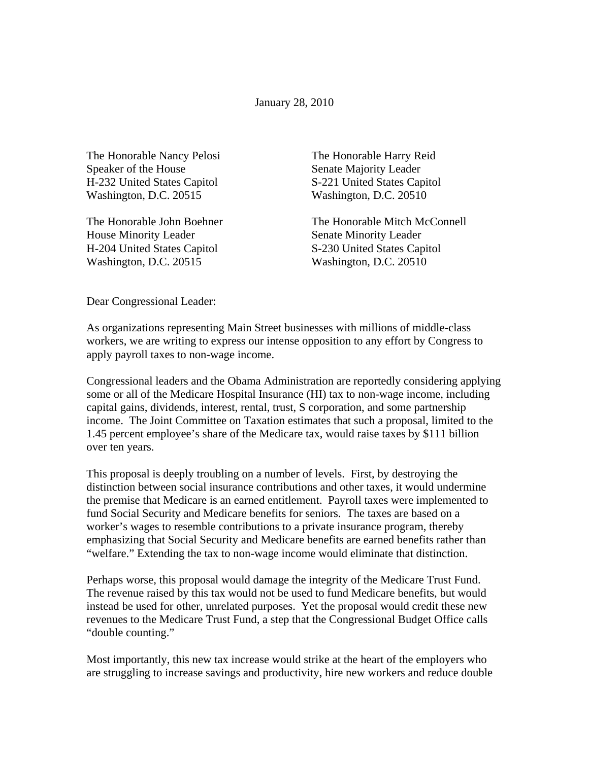January 28, 2010

The Honorable Nancy Pelosi Speaker of the House H-232 United States Capitol Washington, D.C. 20515

The Honorable John Boehner House Minority Leader H-204 United States Capitol Washington, D.C. 20515

The Honorable Harry Reid Senate Majority Leader S-221 United States Capitol Washington, D.C. 20510

The Honorable Mitch McConnell Senate Minority Leader S-230 United States Capitol Washington, D.C. 20510

Dear Congressional Leader:

As organizations representing Main Street businesses with millions of middle-class workers, we are writing to express our intense opposition to any effort by Congress to apply payroll taxes to non-wage income.

Congressional leaders and the Obama Administration are reportedly considering applying some or all of the Medicare Hospital Insurance (HI) tax to non-wage income, including capital gains, dividends, interest, rental, trust, S corporation, and some partnership income. The Joint Committee on Taxation estimates that such a proposal, limited to the 1.45 percent employee's share of the Medicare tax, would raise taxes by \$111 billion over ten years.

This proposal is deeply troubling on a number of levels. First, by destroying the distinction between social insurance contributions and other taxes, it would undermine the premise that Medicare is an earned entitlement. Payroll taxes were implemented to fund Social Security and Medicare benefits for seniors. The taxes are based on a worker's wages to resemble contributions to a private insurance program, thereby emphasizing that Social Security and Medicare benefits are earned benefits rather than "welfare." Extending the tax to non-wage income would eliminate that distinction.

Perhaps worse, this proposal would damage the integrity of the Medicare Trust Fund. The revenue raised by this tax would not be used to fund Medicare benefits, but would instead be used for other, unrelated purposes. Yet the proposal would credit these new revenues to the Medicare Trust Fund, a step that the Congressional Budget Office calls "double counting."

Most importantly, this new tax increase would strike at the heart of the employers who are struggling to increase savings and productivity, hire new workers and reduce double